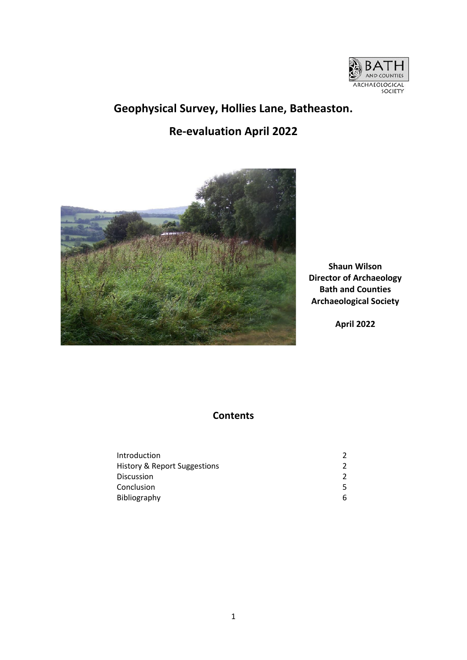

# **Geophysical Survey, Hollies Lane, Batheaston. Re-evaluation April 2022**



**Shaun Wilson Director of Archaeology Bath and Counties Archaeological Society**

**April 2022**

# **Contents**

| Introduction                 |   |
|------------------------------|---|
| History & Report Suggestions |   |
| <b>Discussion</b>            |   |
| Conclusion                   |   |
| Bibliography                 | h |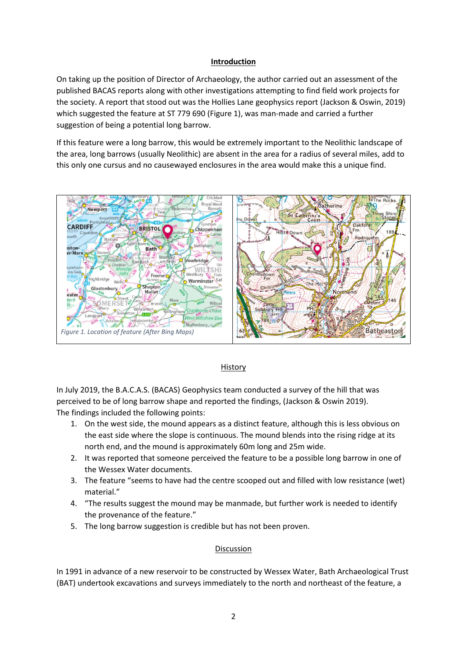#### **Introduction**

On taking up the position of Director of Archaeology, the author carried out an assessment of the published BACAS reports along with other investigations attempting to find field work projects for the society. A report that stood out was the Hollies Lane geophysics report (Jackson & Oswin, 2019) which suggested the feature at ST 779 690 (Figure 1), was man-made and carried a further suggestion of being a potential long barrow.

If this feature were a long barrow, this would be extremely important to the Neolithic landscape of the area, long barrows (usually Neolithic) are absent in the area for a radius of several miles, add to this only one cursus and no causewayed enclosures in the area would make this a unique find.



# History

In July 2019, the B.A.C.A.S. (BACAS) Geophysics team conducted a survey of the hill that was perceived to be of long barrow shape and reported the findings, (Jackson & Oswin 2019). The findings included the following points:

- 1. On the west side, the mound appears as a distinct feature, although this is less obvious on the east side where the slope is continuous. The mound blends into the rising ridge at its north end, and the mound is approximately 60m long and 25m wide.
- 2. It was reported that someone perceived the feature to be a possible long barrow in one of the Wessex Water documents.
- 3. The feature "seems to have had the centre scooped out and filled with low resistance (wet) material."
- 4. "The results suggest the mound may be manmade, but further work is needed to identify the provenance of the feature."
- 5. The long barrow suggestion is credible but has not been proven.

# Discussion

In 1991 in advance of a new reservoir to be constructed by Wessex Water, Bath Archaeological Trust (BAT) undertook excavations and surveys immediately to the north and northeast of the feature, a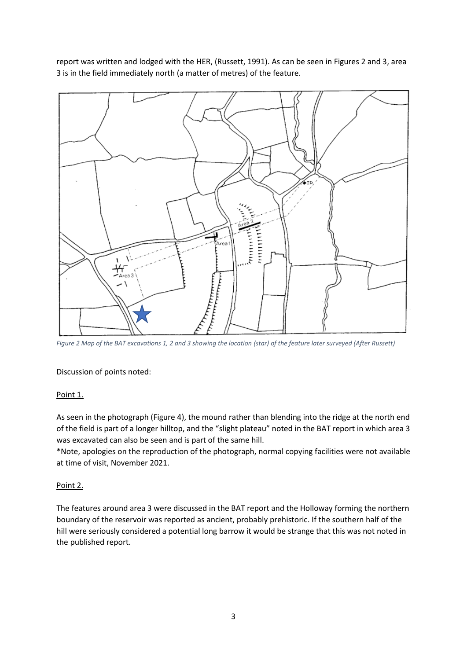report was written and lodged with the HER, (Russett, 1991). As can be seen in Figures 2 and 3, area 3 is in the field immediately north (a matter of metres) of the feature.



*Figure 2 Map of the BAT excavations 1, 2 and 3 showing the location (star) of the feature later surveyed (After Russett)*

Discussion of points noted:

# Point 1.

As seen in the photograph (Figure 4), the mound rather than blending into the ridge at the north end of the field is part of a longer hilltop, and the "slight plateau" noted in the BAT report in which area 3 was excavated can also be seen and is part of the same hill.

\*Note, apologies on the reproduction of the photograph, normal copying facilities were not available at time of visit, November 2021.

#### Point 2.

The features around area 3 were discussed in the BAT report and the Holloway forming the northern boundary of the reservoir was reported as ancient, probably prehistoric. If the southern half of the hill were seriously considered a potential long barrow it would be strange that this was not noted in the published report.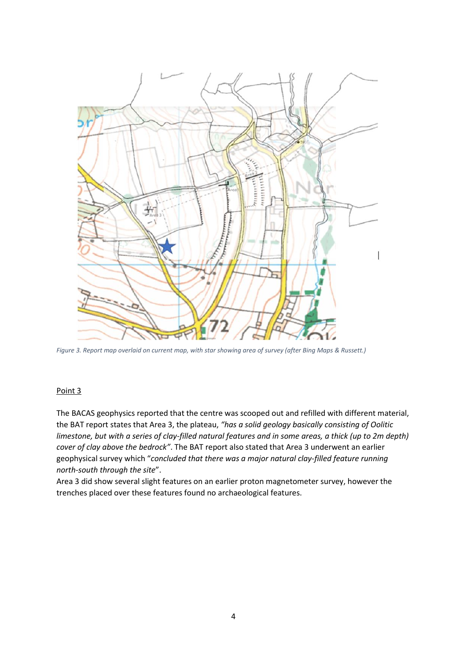

*Figure 3. Report map overlaid on current map, with star showing area of survey (after Bing Maps & Russett.)*

# Point 3

The BACAS geophysics reported that the centre was scooped out and refilled with different material, the BAT report states that Area 3, the plateau, *"has a solid geology basically consisting of Oolitic limestone, but with a series of clay-filled natural features and in some areas, a thick (up to 2m depth) cover of clay above the bedrock"*. The BAT report also stated that Area 3 underwent an earlier geophysical survey which "*concluded that there was a major natural clay-filled feature running north-south through the site*".

Area 3 did show several slight features on an earlier proton magnetometer survey, however the trenches placed over these features found no archaeological features.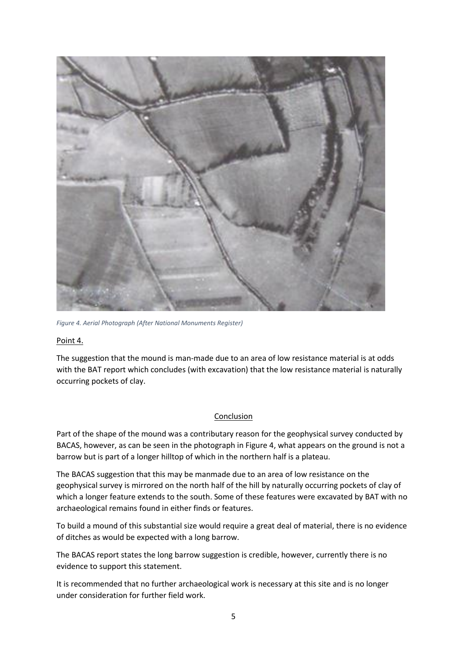

*Figure 4. Aerial Photograph (After National Monuments Register)*

Point 4.

The suggestion that the mound is man-made due to an area of low resistance material is at odds with the BAT report which concludes (with excavation) that the low resistance material is naturally occurring pockets of clay.

# Conclusion

Part of the shape of the mound was a contributary reason for the geophysical survey conducted by BACAS, however, as can be seen in the photograph in Figure 4, what appears on the ground is not a barrow but is part of a longer hilltop of which in the northern half is a plateau.

The BACAS suggestion that this may be manmade due to an area of low resistance on the geophysical survey is mirrored on the north half of the hill by naturally occurring pockets of clay of which a longer feature extends to the south. Some of these features were excavated by BAT with no archaeological remains found in either finds or features.

To build a mound of this substantial size would require a great deal of material, there is no evidence of ditches as would be expected with a long barrow.

The BACAS report states the long barrow suggestion is credible, however, currently there is no evidence to support this statement.

It is recommended that no further archaeological work is necessary at this site and is no longer under consideration for further field work.